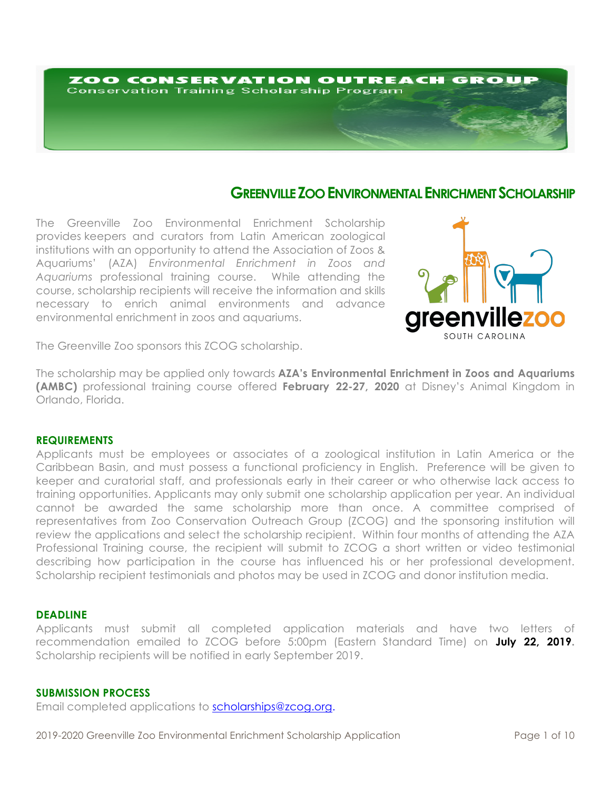# ZOO CONSERVATION OUTREACH GROUF **Conservation Training Scholarship Program**

# **GREENVILLE ZOO ENVIRONMENTAL ENRICHMENT SCHOLARSHIP**

The Greenville Zoo Environmental Enrichment Scholarship provides keepers and curators from Latin American zoological institutions with an opportunity to attend the Association of Zoos & Aquariums' (AZA) *Environmental Enrichment in Zoos and Aquariums* professional training course. While attending the course, scholarship recipients will receive the information and skills necessary to enrich animal environments and advance environmental enrichment in zoos and aquariums.



The Greenville Zoo sponsors this ZCOG scholarship.

The scholarship may be applied only towards **AZA's Environmental Enrichment in Zoos and Aquariums (AMBC)** professional training course offered **February 22-27, 2020** at Disney's Animal Kingdom in Orlando, Florida.

#### **REQUIREMENTS**

Applicants must be employees or associates of a zoological institution in Latin America or the Caribbean Basin, and must possess a functional proficiency in English. Preference will be given to keeper and curatorial staff, and professionals early in their career or who otherwise lack access to training opportunities. Applicants may only submit one scholarship application per year. An individual cannot be awarded the same scholarship more than once. A committee comprised of representatives from Zoo Conservation Outreach Group (ZCOG) and the sponsoring institution will review the applications and select the scholarship recipient. Within four months of attending the AZA Professional Training course, the recipient will submit to ZCOG a short written or video testimonial describing how participation in the course has influenced his or her professional development. Scholarship recipient testimonials and photos may be used in ZCOG and donor institution media.

# **DEADLINE**

Applicants must submit all completed application materials and have two letters of recommendation emailed to ZCOG before 5:00pm (Eastern Standard Time) on **July 22, 2019.** Scholarship recipients will be notified in early September 2019.

## **SUBMISSION PROCESS**

Email completed applications to scholarships@zcog.org.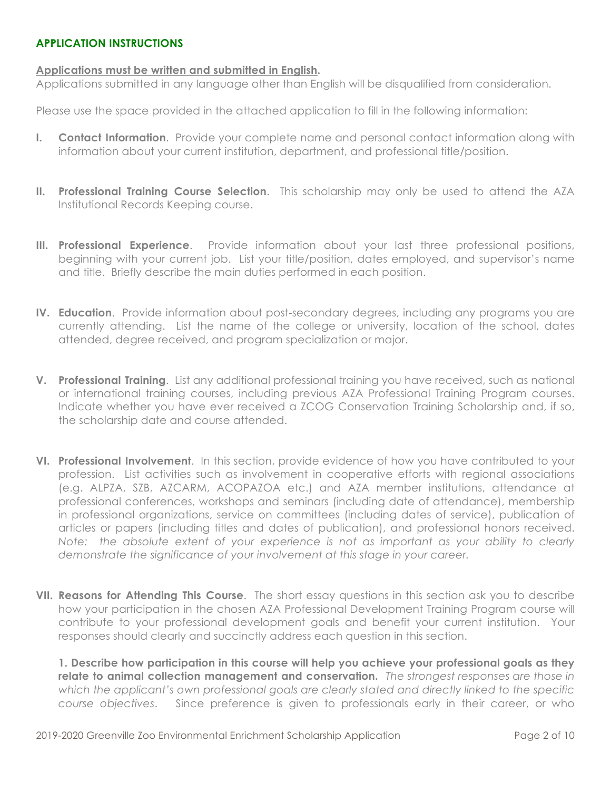# **APPLICATION INSTRUCTIONS**

# **Applications must be written and submitted in English.**

Applications submitted in any language other than English will be disqualified from consideration.

Please use the space provided in the attached application to fill in the following information:

- **I. Contact Information**. Provide your complete name and personal contact information along with information about your current institution, department, and professional title/position.
- **II. Professional Training Course Selection**. This scholarship may only be used to attend the AZA Institutional Records Keeping course.
- **III. Professional Experience**. Provide information about your last three professional positions, beginning with your current job. List your title/position, dates employed, and supervisor's name and title. Briefly describe the main duties performed in each position.
- **IV. Education**. Provide information about post-secondary degrees, including any programs you are currently attending. List the name of the college or university, location of the school, dates attended, degree received, and program specialization or major.
- **V. Professional Training**. List any additional professional training you have received, such as national or international training courses, including previous AZA Professional Training Program courses. Indicate whether you have ever received a ZCOG Conservation Training Scholarship and, if so, the scholarship date and course attended.
- **VI. Professional Involvement**. In this section, provide evidence of how you have contributed to your profession. List activities such as involvement in cooperative efforts with regional associations (e.g. ALPZA, SZB, AZCARM, ACOPAZOA etc.) and AZA member institutions, attendance at professional conferences, workshops and seminars (including date of attendance), membership in professional organizations, service on committees (including dates of service), publication of articles or papers (including titles and dates of publication), and professional honors received. *Note: the absolute extent of your experience is not as important as your ability to clearly demonstrate the significance of your involvement at this stage in your career.*
- **VII. Reasons for Attending This Course**. The short essay questions in this section ask you to describe how your participation in the chosen AZA Professional Development Training Program course will contribute to your professional development goals and benefit your current institution. Your responses should clearly and succinctly address each question in this section.

**1. Describe how participation in this course will help you achieve your professional goals as they relate to animal collection management and conservation.** *The strongest responses are those in which the applicant's own professional goals are clearly stated and directly linked to the specific course objectives*. Since preference is given to professionals early in their career, or who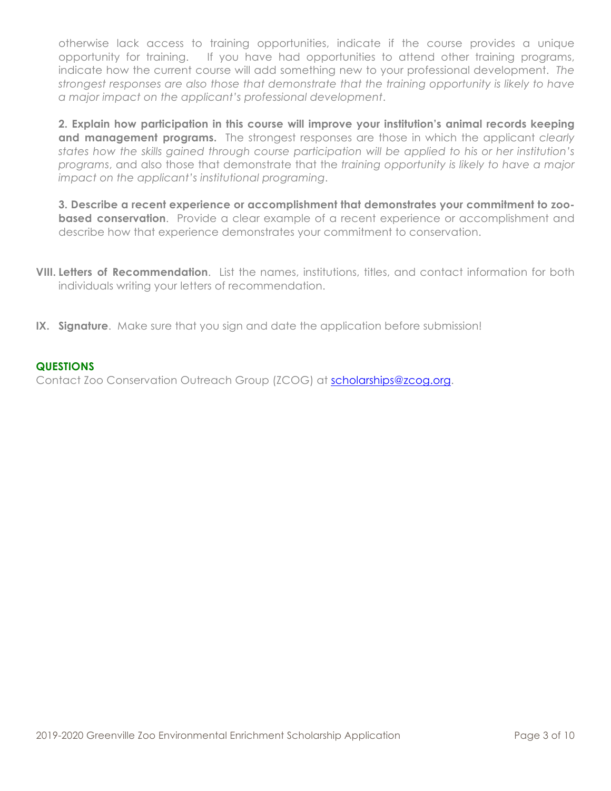otherwise lack access to training opportunities, indicate if the course provides a unique opportunity for training. If you have had opportunities to attend other training programs, indicate how the current course will add something new to your professional development. *The strongest responses are also those that demonstrate that the training opportunity is likely to have a major impact on the applicant's professional development*.

**2. Explain how participation in this course will improve your institution's animal records keeping and management programs.** The strongest responses are those in which the applicant *clearly states how the skills gained through course participation will be applied to his or her institution's programs*, and also those that demonstrate that the *training opportunity is likely to have a major impact on the applicant's institutional programing*.

**3. Describe a recent experience or accomplishment that demonstrates your commitment to zoobased conservation**. Provide a clear example of a recent experience or accomplishment and describe how that experience demonstrates your commitment to conservation.

- **VIII. Letters of Recommendation**. List the names, institutions, titles, and contact information for both individuals writing your letters of recommendation.
- **IX. Signature**. Make sure that you sign and date the application before submission!

# **QUESTIONS**

Contact Zoo Conservation Outreach Group (ZCOG) at scholarships@zcog.org.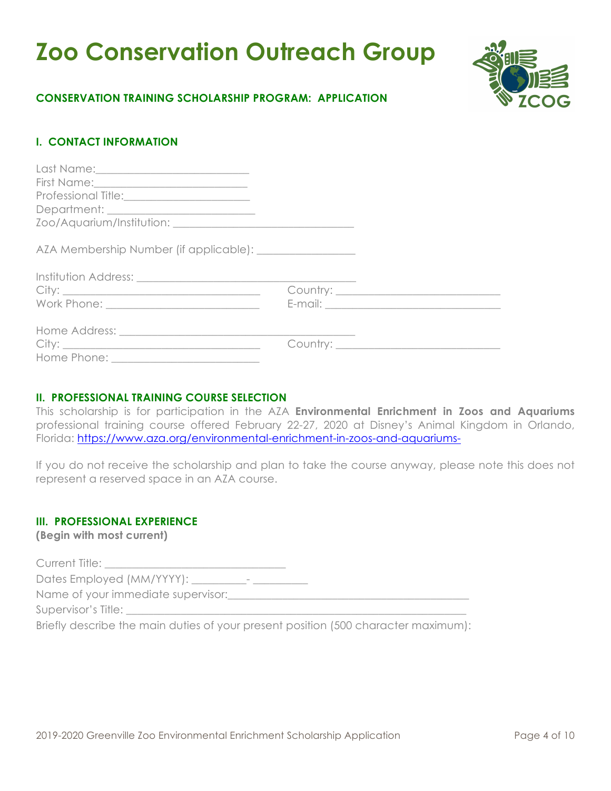# **Zoo Conservation Outreach Group**



# **CONSERVATION TRAINING SCHOLARSHIP PROGRAM: APPLICATION**

# **I. CONTACT INFORMATION**

# **II. PROFESSIONAL TRAINING COURSE SELECTION**

This scholarship is for participation in the AZA **Environmental Enrichment in Zoos and Aquariums** professional training course offered February 22-27, 2020 at Disney's Animal Kingdom in Orlando, Florida: https://www.aza.org/environmental-enrichment-in-zoos-and-aquariums-

If you do not receive the scholarship and plan to take the course anyway, please note this does not represent a reserved space in an AZA course.

# **III. PROFESSIONAL EXPERIENCE**

**(Begin with most current)**

| Current Title:                                                                     |  |
|------------------------------------------------------------------------------------|--|
| Dates Employed (MM/YYYY):<br>$\,$                                                  |  |
| Name of your immediate supervisor:                                                 |  |
| Supervisor's Title:                                                                |  |
| Briefly describe the main duties of your present position (500 character maximum): |  |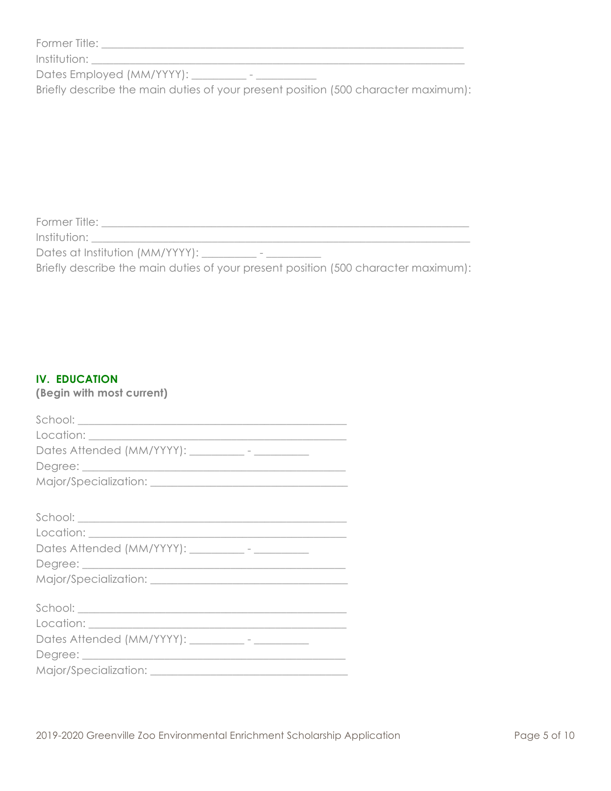| Former Title: |  |  |
|---------------|--|--|
|               |  |  |

Institution: \_\_\_\_\_\_\_\_\_\_\_\_\_\_\_\_\_\_\_\_\_\_\_\_\_\_\_\_\_\_\_\_\_\_\_\_\_\_\_\_\_\_\_\_\_\_\_\_\_\_\_\_\_\_\_\_\_\_\_\_\_\_\_\_\_\_\_\_

Dates Employed (MM/YYYY): \_\_\_\_\_\_\_\_\_\_ - \_\_\_\_\_\_\_\_\_\_\_

Briefly describe the main duties of your present position (500 character maximum):

 $F_{\rm eff}$  and  $F_{\rm eff}$  are the set of the set of the set of the set of the set of the set of the set of the set of the set of the set of the set of the set of the set of the set of the set of the set of the set of the set

Former Title: \_\_\_\_\_\_\_\_\_\_\_\_\_\_\_\_\_\_\_\_\_\_\_\_\_\_\_\_\_\_\_\_\_\_\_\_\_\_\_\_\_\_\_\_\_\_\_\_\_\_\_\_\_\_\_\_\_\_\_\_\_\_\_\_\_\_\_ Institution:

Dates at Institution (MM/YYYY): \_\_\_\_\_\_\_\_\_\_\_ - \_\_\_\_\_\_\_\_\_\_\_\_

Briefly describe the main duties of your present position (500 character maximum):

# **IV. EDUCATION**

**(Begin with most current)**

| Dates Attended (MM/YYYY): __________- - ______________  |
|---------------------------------------------------------|
|                                                         |
|                                                         |
|                                                         |
|                                                         |
|                                                         |
| Dates Attended (MM/YYYY): ___________- - ______________ |
|                                                         |
|                                                         |
|                                                         |
|                                                         |
|                                                         |
| Dates Attended (MM/YYYY): __________- - __________      |
|                                                         |
|                                                         |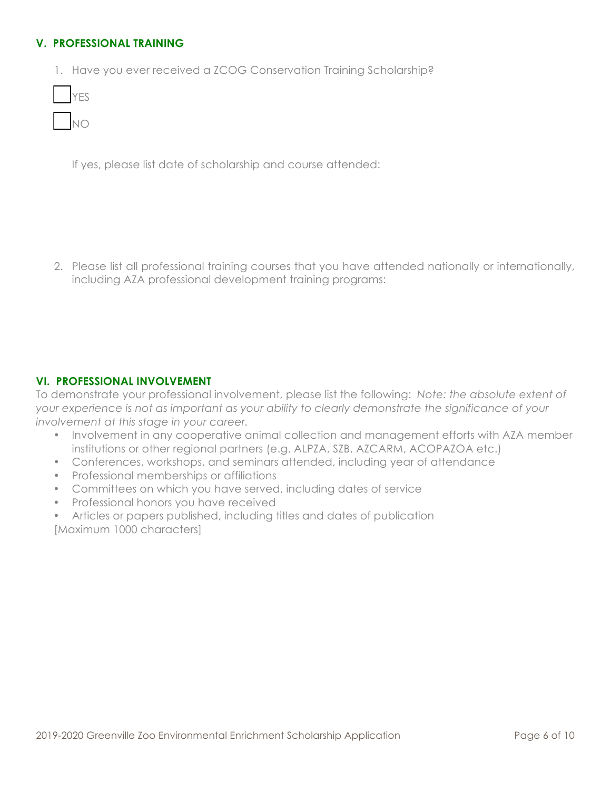# **V. PROFESSIONAL TRAINING**

1. Have you ever received a ZCOG Conservation Training Scholarship?

| I |  |
|---|--|
| I |  |

If yes, please list date of scholarship and course attended:

2. Please list all professional training courses that you have attended nationally or internationally, including AZA professional development training programs:

# **VI. PROFESSIONAL INVOLVEMENT**

To demonstrate your professional involvement, please list the following: *Note: the absolute extent of your experience is not as important as your ability to clearly demonstrate the significance of your involvement at this stage in your career.* 

- Involvement in any cooperative animal collection and management efforts with AZA member institutions or other regional partners (e.g. ALPZA, SZB, AZCARM, ACOPAZOA etc.)
- Conferences, workshops, and seminars attended, including year of attendance
- Professional memberships or affiliations
- Committees on which you have served, including dates of service
- Professional honors you have received
- Articles or papers published, including titles and dates of publication [Maximum 1000 characters]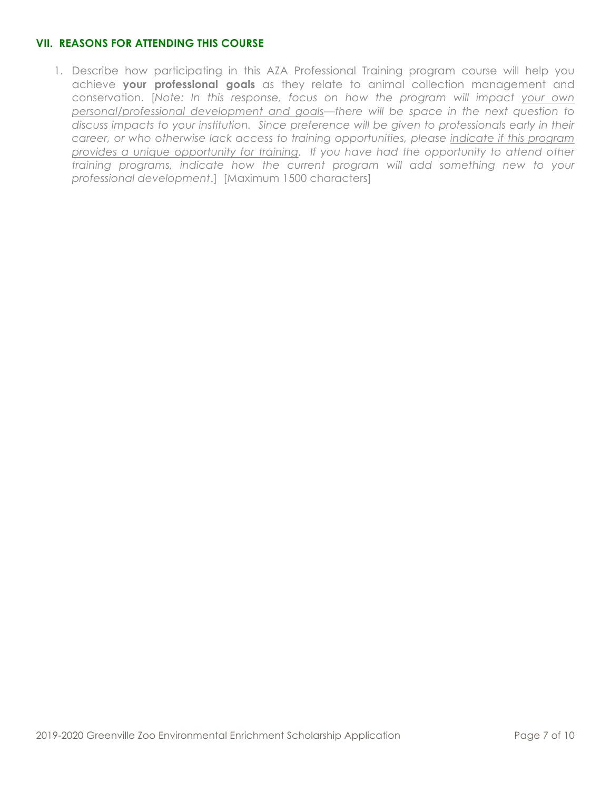# **VII. REASONS FOR ATTENDING THIS COURSE**

1. Describe how participating in this AZA Professional Training program course will help you achieve **your professional goals** as they relate to animal collection management and conservation. [*Note: In this response, focus on how the program will impact your own personal/professional development and goals—there will be space in the next question to discuss impacts to your institution. Since preference will be given to professionals early in their career, or who otherwise lack access to training opportunities, please indicate if this program provides a unique opportunity for training. If you have had the opportunity to attend other training programs, indicate how the current program will add something new to your professional development*.] [Maximum 1500 characters]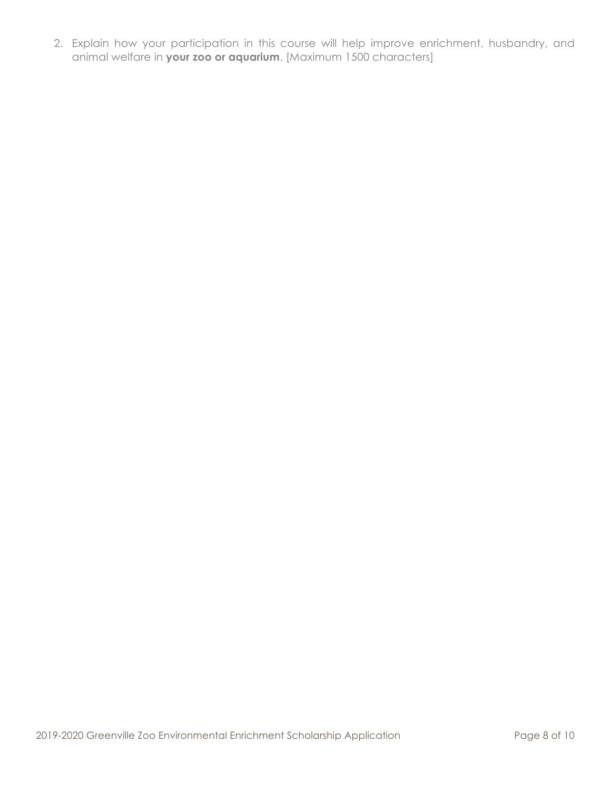2. Explain how your participation in this course will help improve enrichment, husbandry, and animal welfare in **your zoo or aquarium**. [Maximum 1500 characters]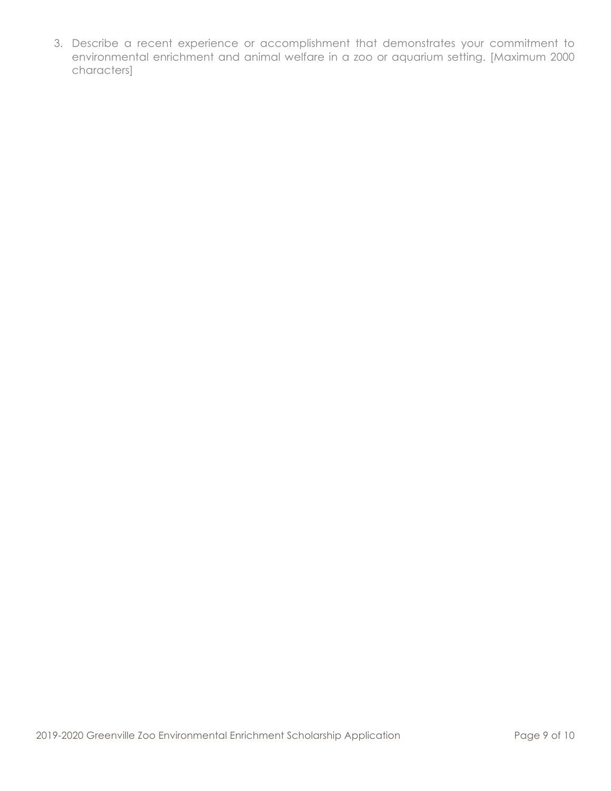3. Describe a recent experience or accomplishment that demonstrates your commitment to environmental enrichment and animal welfare in a zoo or aquarium setting. [Maximum 2000 characters]